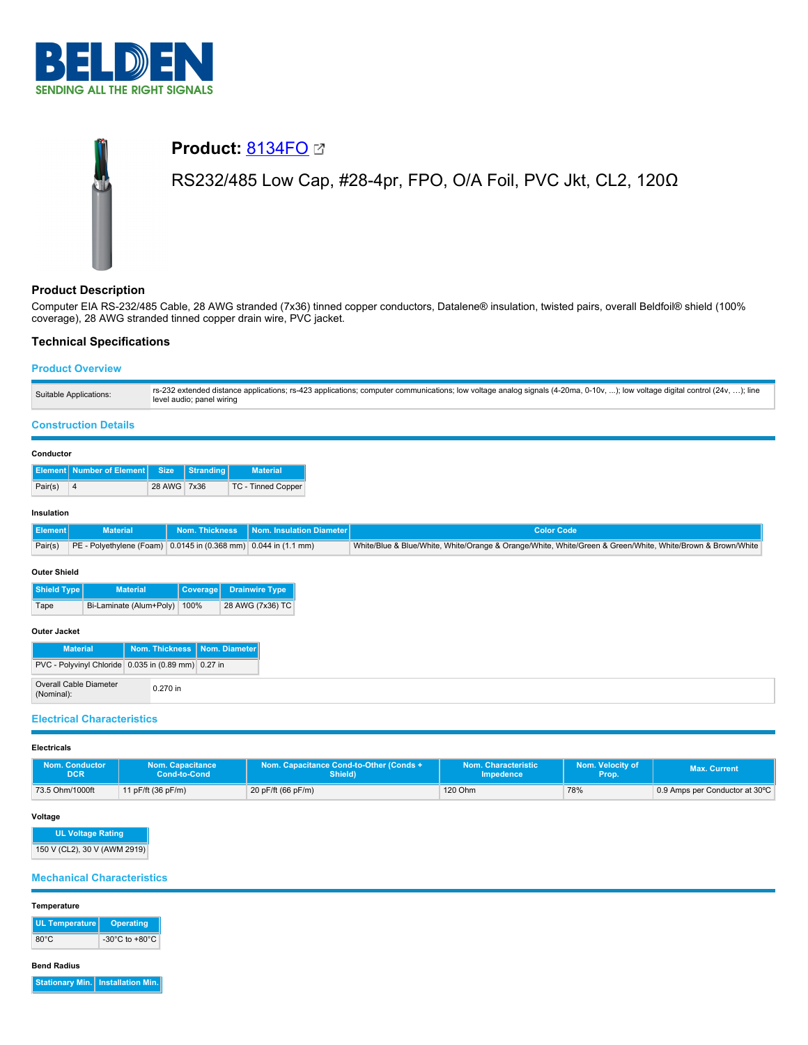

# **Product:** [8134FO](https://catalog.belden.com/index.cfm?event=pd&p=PF_8134FO&tab=downloads) RS232/485 Low Cap, #28-4pr, FPO, O/A Foil, PVC Jkt, CL2, 120Ω

# **Product Description**

Computer EIA RS-232/485 Cable, 28 AWG stranded (7x36) tinned copper conductors, Datalene® insulation, twisted pairs, overall Beldfoil® shield (100% coverage), 28 AWG stranded tinned copper drain wire, PVC jacket.

## **Technical Specifications**

## **Product Overview**

| Suitable Applications: | rs-232 extended distance applications; rs-423 applications; computer communications; low voltage analog signals (4-20ma, 0-10v, ); low voltage digital control (24v, ); line<br>level audio; panel wiring |
|------------------------|-----------------------------------------------------------------------------------------------------------------------------------------------------------------------------------------------------------|
|                        |                                                                                                                                                                                                           |

## **Construction Details**

## **Conductor**

|         | <b>Element Number of Element Size Stranding</b> |             | <b>Material</b>    |
|---------|-------------------------------------------------|-------------|--------------------|
| Pair(s) | <b>4</b>                                        | 28 AWG 7x36 | TC - Tinned Copper |

## **Insulation**

| Element | <b>Material</b>                                                 | <b>Nom. Thickness Nom. Insulation Diameter</b> | -Color Code                                                                                                |
|---------|-----------------------------------------------------------------|------------------------------------------------|------------------------------------------------------------------------------------------------------------|
| Pair(s) | PE - Polyethylene (Foam) 0.0145 in (0.368 mm) 0.044 in (1.1 mm) |                                                | Nhite/Blue & Blue/White, White/Orange & Orange/White, White/Green & Green/White, White/Brown & Brown/White |

#### **Outer Shield**

| Shield Type | <b>Material</b>              | Coverage | <b>Drainwire Type</b> |
|-------------|------------------------------|----------|-----------------------|
| Tape        | Bi-Laminate (Alum+Poly) 100% |          | 28 AWG (7x36) TC      |

## **Outer Jacket**

| <b>Material</b>                                     |          | Nom. Thickness   Nom. Diameter |
|-----------------------------------------------------|----------|--------------------------------|
| PVC - Polyvinyl Chloride 0.035 in (0.89 mm) 0.27 in |          |                                |
| Overall Cable Diameter<br>(Nominal):                | 0.270 in |                                |

## **Electrical Characteristics**

#### **Electricals**

| Nom. Conductor  | Nom. Capacitance             | Nom. Capacitance Cond-to-Other (Conds + | Nom. Characteristic | Nom. Velocity of | <b>Max. Current</b>            |
|-----------------|------------------------------|-----------------------------------------|---------------------|------------------|--------------------------------|
| DCR             | Cond-to-Cond                 | Shield)                                 | <b>Impedence</b>    | Prop.            |                                |
| 73.5 Ohm/1000ft | 11 pF/ft $(36 \text{ pF/m})$ | 20 pF/ft (66 pF/m)                      | 120 Ohm             | 78%              | 0.9 Amps per Conductor at 30°C |

## **Voltage**

**UL Voltage Rating**

150 V (CL2), 30 V (AWM 2919)

## **Mechanical Characteristics**

# **Temperature**

| UL Temperature | Operating                            |
|----------------|--------------------------------------|
| $80^{\circ}$ C | -30 $^{\circ}$ C to +80 $^{\circ}$ C |

**Bend Radius**

**Stationary Min. Installation Min.**